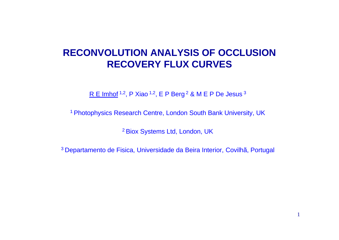# **RECONVOLUTION ANALYSIS OF OCCLUSION RECOVERY FLUX CURVES**

R E Imhof  $1,2$ , P Xiao  $1,2$ , E P Berg  $2 \& M \& P$  De Jesus  $3 \&$ 

<sup>1</sup> Photophysics Research Centre, London South Bank University, UK

<sup>2</sup> Biox Systems Ltd, London, UK

<sup>3</sup> Departamento de Fisica, Universidade da Beira Interior, Covilhã, Portugal

1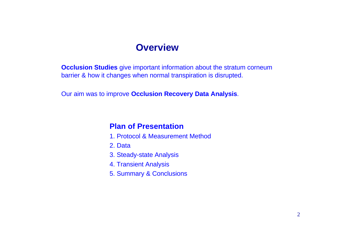#### **Overview**

**Occlusion Studies** give important information about the stratum corneum barrier & how it changes when normal transpiration is disrupted.

Our aim was to improve **Occlusion Recovery Data Analysis**.

#### **Plan of Presentation**

- 1. Protocol & Measurement Method
- 2. Data
- 3. Steady-state Analysis
- 4. Transient Analysis
- 5. Summary & Conclusions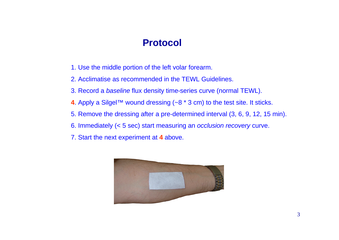# **Protocol**

- 1. Use the middle portion of the left volar forearm.
- 2. Acclimatise as recommended in the TEWL Guidelines.
- 3. Record a *baseline* flux density time-series curve (normal TEWL).
- **4**. Apply a Silgel™ wound dressing (~8 \* 3 cm) to the test site. It sticks.
- 5. Remove the dressing after a pre-determined interval (3, 6, 9, 12, 15 min).
- 6. Immediately (< 5 sec) start measuring an *occlusion recovery* curve.
- 7. Start the next experiment at **4** above.

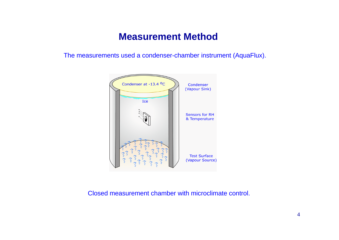#### **Measurement Method**

The measurements used a condenser-chamber instrument (AquaFlux).



Closed measurement chamber with microclimate control.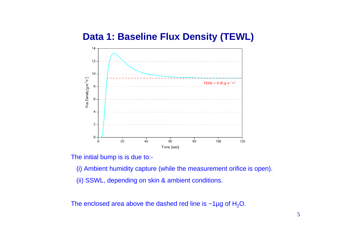#### **Data 1: Baseline Flux Density (TEWL)**



The initial bump is is due to:-

(i) Ambient humidity capture (while the measurement orifice is open).

(ii) SSWL, depending on skin & ambient conditions.

The enclosed area above the dashed red line is  $\sim$ 1µg of H<sub>2</sub>O.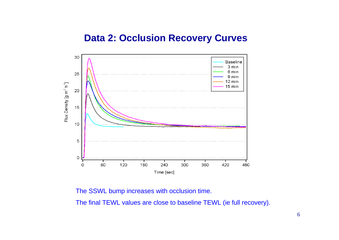#### **Data 2: Occlusion Recovery Curves**



The SSWL bump increases with occlusion time.

The final TEWL values are close to baseline TEWL (ie full recovery).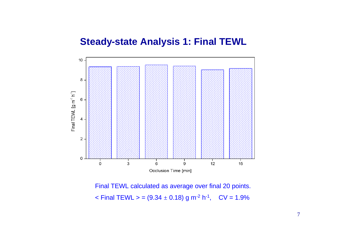#### **Steady-state Analysis 1: Final TEWL**



Final TEWL calculated as average over final 20 points.  $\textsf{1} <$  Final TEWL  $\textsf{2} = (9.34 \pm 0.18) \text{ g m}^{-2} \text{ h}^{-1}$ , CV = 1.9%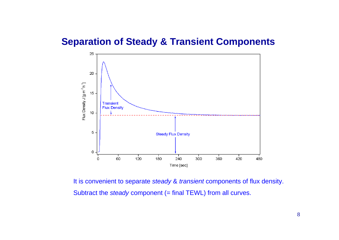#### **Separation of Steady & Transient Components**



It is convenient to separate *steady* & *transient* components of flux density. Subtract the *steady* component (= final TEWL) from all curves.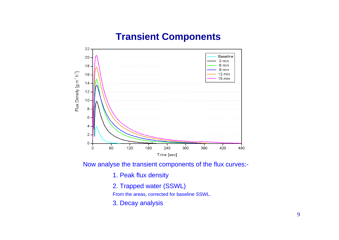# **Transient Components**



Now analyse the transient components of the flux curves:-

- 1. Peak flux density
- 2. Trapped water (SSWL)

From the areas, corrected for baseline SSWL.

3. Decay analysis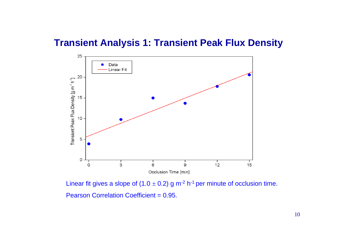# **Transient Analysis 1: Transient Peak Flux Density**



Linear fit gives a slope of (1.0  $\pm$  0.2) g m<sup>-2</sup> h<sup>-1</sup> per minute of occlusion time. Pearson Correlation Coefficient = 0.95.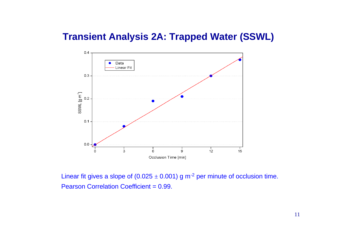# **Transient Analysis 2A: Trapped Water (SSWL)**



Linear fit gives a slope of (0.025  $\pm$  0.001) g m<sup>-2</sup> per minute of occlusion time. Pearson Correlation Coefficient = 0.99.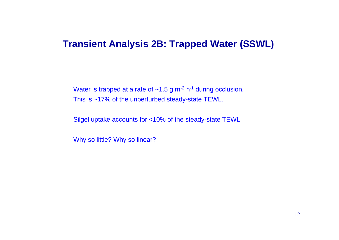#### **Transient Analysis 2B: Trapped Water (SSWL)**

Water is trapped at a rate of  $\sim$ 1.5 g m<sup>-2</sup> h<sup>-1</sup> during occlusion. This is ~17% of the unperturbed steady-state TEWL.

Silgel uptake accounts for <10% of the steady-state TEWL.

Why so little? Why so linear?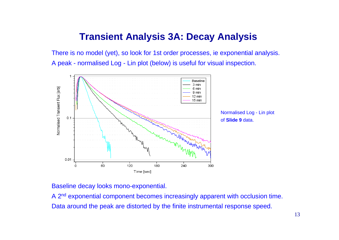# **Transient Analysis 3A: Decay Analysis**

There is no model (yet), so look for 1st order processes, ie exponential analysis. A peak - normalised Log - Lin plot (below) is useful for visual inspection.



Baseline decay looks mono-exponential.

A 2nd exponential component becomes increasingly apparent with occlusion time. Data around the peak are distorted by the finite instrumental response speed.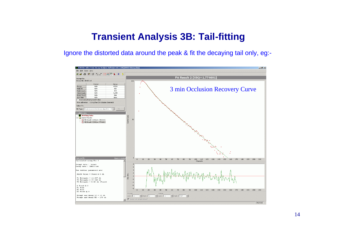# **Transient Analysis 3B: Tail-fitting**

Ignore the distorted data around the peak & fit the decaying tail only, eg:-

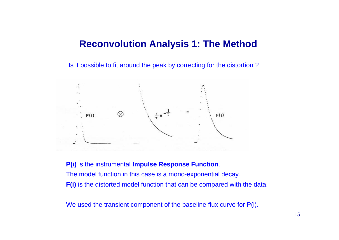#### **Reconvolution Analysis 1: The Method**

Is it possible to fit around the peak by correcting for the distortion ?



**P(i)** is the instrumental **Impulse Response Function**. The model function in this case is a mono-exponential decay. **F(i)** is the distorted model function that can be compared with the data.

We used the transient component of the baseline flux curve for P(i).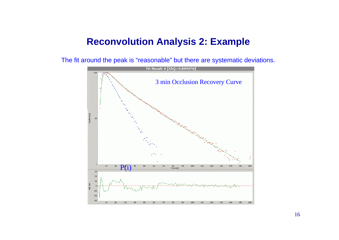#### **Reconvolution Analysis 2: Example**

The fit around the peak is "reasonable" but there are systematic deviations.

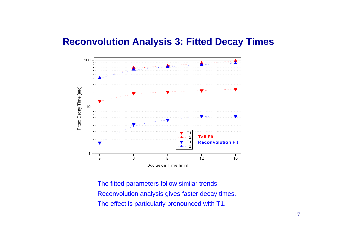#### **Reconvolution Analysis 3: Fitted Decay Times**



The fitted parameters follow similar trends. Reconvolution analysis gives faster decay times. The effect is particularly pronounced with T1.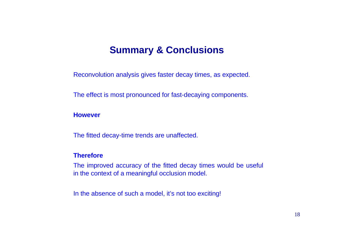#### **Summary & Conclusions**

Reconvolution analysis gives faster decay times, as expected.

The effect is most pronounced for fast-decaying components.

**However**

The fitted decay-time trends are unaffected.

#### **Therefore**

The improved accuracy of the fitted decay times would be useful in the context of a meaningful occlusion model.

In the absence of such a model, it's not too exciting!